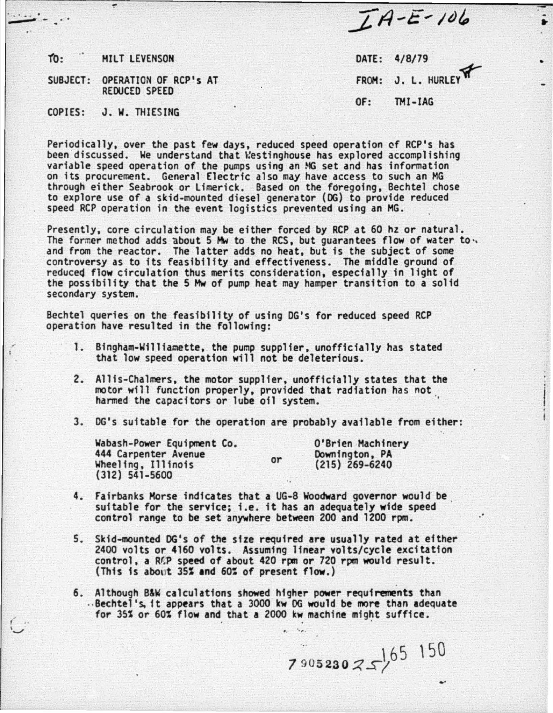$TA- E-106$ 

- •

•

tb: HILT LEVENSON DATE: 4/8/79

"!"

 $\ddots$  .

 $\epsilon$  $\cup$  SUBJECT: OPERATION OF RCP's AT FROM: J. L. HURLEY REDUCED SPEED

OF: THI-IAG

## COPIES: J. W. THIESING

Periodically, over the past few days, reduced speed operation of RCP's has been discussed. We understand that Westinghouse has explored accomplishing variable speed operation of the pumps using an  $MG$  set and has information on its procurement. General Electric also may have access to such an MG through either Seabrook or Limerick. Based on the foregoing, Bechtel chose to explore use of a skid-mounted diesel generator (DG) to provide reduced speed RCP operation in the event logistics prevented using an MG.

Presently, core circulation may be either forced by RCP at 60 hz or natural. The former method adds about 5 Mw to the RCS, but guarantees flow of water to. and from the reactor. The latter adds no heat, but is the subject of some controversy as to its feasibility and effectiveness. The middle ground of reduced flow circulation thus merits consideration, especially in light of the possibility that the 5 Mw of pump heat may hamper transition to a solid secondary system.

Bechtel queries on the feasibility of using DG's for reduced speed RCP operation have resulted in the following:

- 1. Bingham-Williamette, the pump supplier, unofficially has stated that low speed operation will not be deleterious.
- 2. Allis-Chalmers, the motor supplier, unofficially states that the motor will function properly, provided that radiation has not . harmed the capacitors *or* lube oil system. '
- 3. OG's suitable *for* the operation are probably available from either:

or

Wabash-Power Equipment Co. 444 Carpenter Avenue Wheeling, Illinois (312) 541-5600

O'Brien Machinery Downington, PA (215) 269-6240

·.

.·

- 4. Fairbanks Morse indicates that a UG-8 Woodward governor would be . suitable for the service; i.e. it has an adequately wide speed control range to be set anywhere between 200 and 1200 rpm.
- 5. Skid-mounted OG's of the size required are usually rated at either 2400 volts *or* 4160 volts. Assuming linear volts/cycle excitation control, a RCP speed of about 420 rpm or 720 rpm would result. (This is about 35% and 60% of present flow.)
- 6. Although B&W calculations showed higher power requirements than ...Bechtel's, it appears that a 3000 kw OG would be more than adequate for 35% or 60% flow and that a 2000 kw machine might suffice.

 $7 \frac{1}{3}05$  230  $7 \frac{1}{5}$   $^{150}$  ...